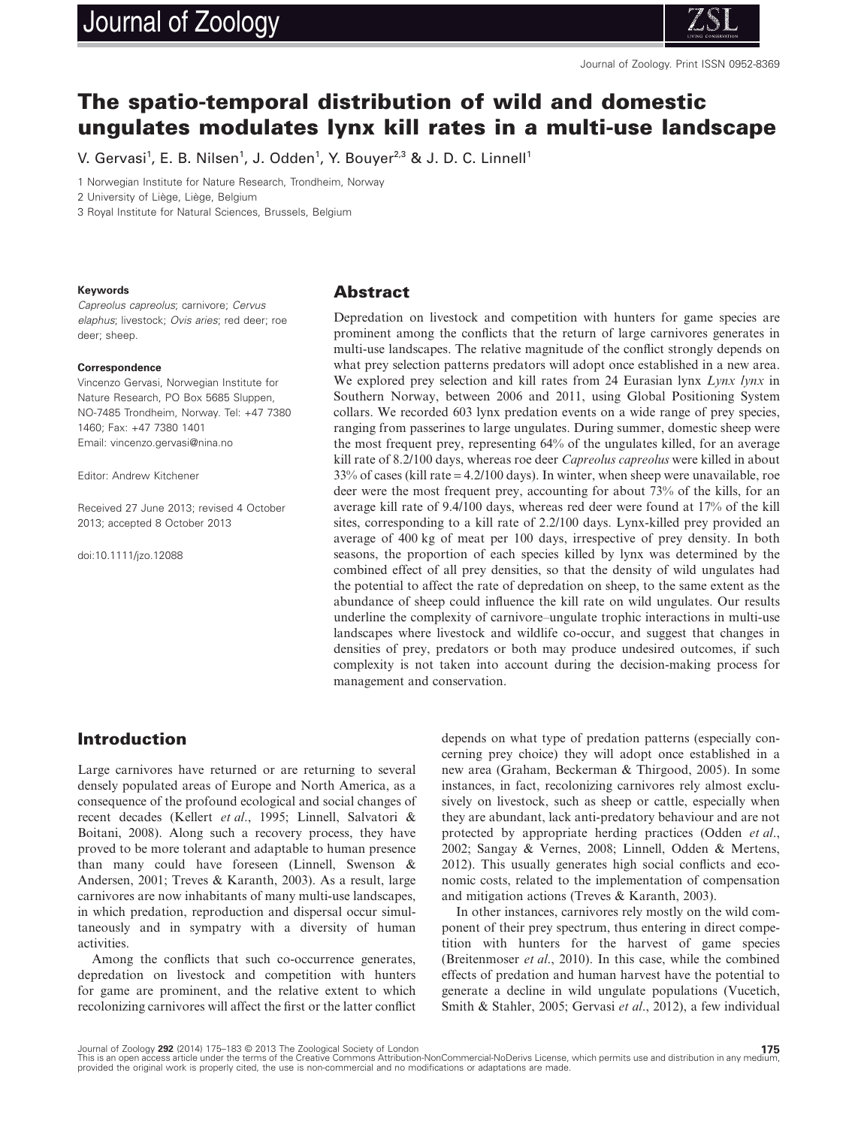# Journal of Zoology



Journal of Zoology. Print ISSN 0952-8369

# **The spatio-temporal distribution of wild and domestic ungulates modulates lynx kill rates in a multi-use landscape**

V. Gervasi<sup>1</sup>, E. B. Nilsen<sup>1</sup>, J. Odden<sup>1</sup>, Y. Bouyer<sup>2,3</sup> & J. D. C. Linnell<sup>1</sup>

1 Norwegian Institute for Nature Research, Trondheim, Norway

2 University of Liège, Liège, Belgium

3 Royal Institute for Natural Sciences, Brussels, Belgium

#### **Keywords**

*Capreolus capreolus*; carnivore; *Cervus elaphus*; livestock; *Ovis aries*; red deer; roe deer; sheep.

#### **Correspondence**

Vincenzo Gervasi, Norwegian Institute for Nature Research, PO Box 5685 Sluppen, NO-7485 Trondheim, Norway. Tel: +47 7380 1460; Fax: +47 7380 1401 Email: vincenzo.gervasi@nina.no

Editor: Andrew Kitchener

Received 27 June 2013; revised 4 October 2013; accepted 8 October 2013

doi:10.1111/jzo.12088

#### **Abstract**

Depredation on livestock and competition with hunters for game species are prominent among the conflicts that the return of large carnivores generates in multi-use landscapes. The relative magnitude of the conflict strongly depends on what prey selection patterns predators will adopt once established in a new area. We explored prey selection and kill rates from 24 Eurasian lynx *Lynx lynx* in Southern Norway, between 2006 and 2011, using Global Positioning System collars. We recorded 603 lynx predation events on a wide range of prey species, ranging from passerines to large ungulates. During summer, domestic sheep were the most frequent prey, representing 64% of the ungulates killed, for an average kill rate of 8.2/100 days, whereas roe deer *Capreolus capreolus* were killed in about 33% of cases (kill rate = 4.2/100 days). In winter, when sheep were unavailable, roe deer were the most frequent prey, accounting for about 73% of the kills, for an average kill rate of 9.4/100 days, whereas red deer were found at 17% of the kill sites, corresponding to a kill rate of 2.2/100 days. Lynx-killed prey provided an average of 400 kg of meat per 100 days, irrespective of prey density. In both seasons, the proportion of each species killed by lynx was determined by the combined effect of all prey densities, so that the density of wild ungulates had the potential to affect the rate of depredation on sheep, to the same extent as the abundance of sheep could influence the kill rate on wild ungulates. Our results underline the complexity of carnivore–ungulate trophic interactions in multi-use landscapes where livestock and wildlife co-occur, and suggest that changes in densities of prey, predators or both may produce undesired outcomes, if such complexity is not taken into account during the decision-making process for management and conservation.

#### **Introduction**

Large carnivores have returned or are returning to several densely populated areas of Europe and North America, as a consequence of the profound ecological and social changes of recent decades (Kellert *et al*., 1995; Linnell, Salvatori & Boitani, 2008). Along such a recovery process, they have proved to be more tolerant and adaptable to human presence than many could have foreseen (Linnell, Swenson & Andersen, 2001; Treves & Karanth, 2003). As a result, large carnivores are now inhabitants of many multi-use landscapes, in which predation, reproduction and dispersal occur simultaneously and in sympatry with a diversity of human activities.

Among the conflicts that such co-occurrence generates, depredation on livestock and competition with hunters for game are prominent, and the relative extent to which recolonizing carnivores will affect the first or the latter conflict depends on what type of predation patterns (especially concerning prey choice) they will adopt once established in a new area (Graham, Beckerman & Thirgood, 2005). In some instances, in fact, recolonizing carnivores rely almost exclusively on livestock, such as sheep or cattle, especially when they are abundant, lack anti-predatory behaviour and are not protected by appropriate herding practices (Odden *et al*., 2002; Sangay & Vernes, 2008; Linnell, Odden & Mertens, 2012). This usually generates high social conflicts and economic costs, related to the implementation of compensation and mitigation actions (Treves & Karanth, 2003).

In other instances, carnivores rely mostly on the wild component of their prey spectrum, thus entering in direct competition with hunters for the harvest of game species (Breitenmoser *et al*., 2010). In this case, while the combined effects of predation and human harvest have the potential to generate a decline in wild ungulate populations (Vucetich, Smith & Stahler, 2005; Gervasi *et al*., 2012), a few individual

Journal of Zoology **292** (2014) 175–183 © 2013 The Zoological Society of London<br>This is an open access article under the terms of the Creative Commons Attribution-NonCommercial-NoDerivs License, which permits use and distr provided the original work is properly cited, the use is non-commercial and no modifications or adaptations are made.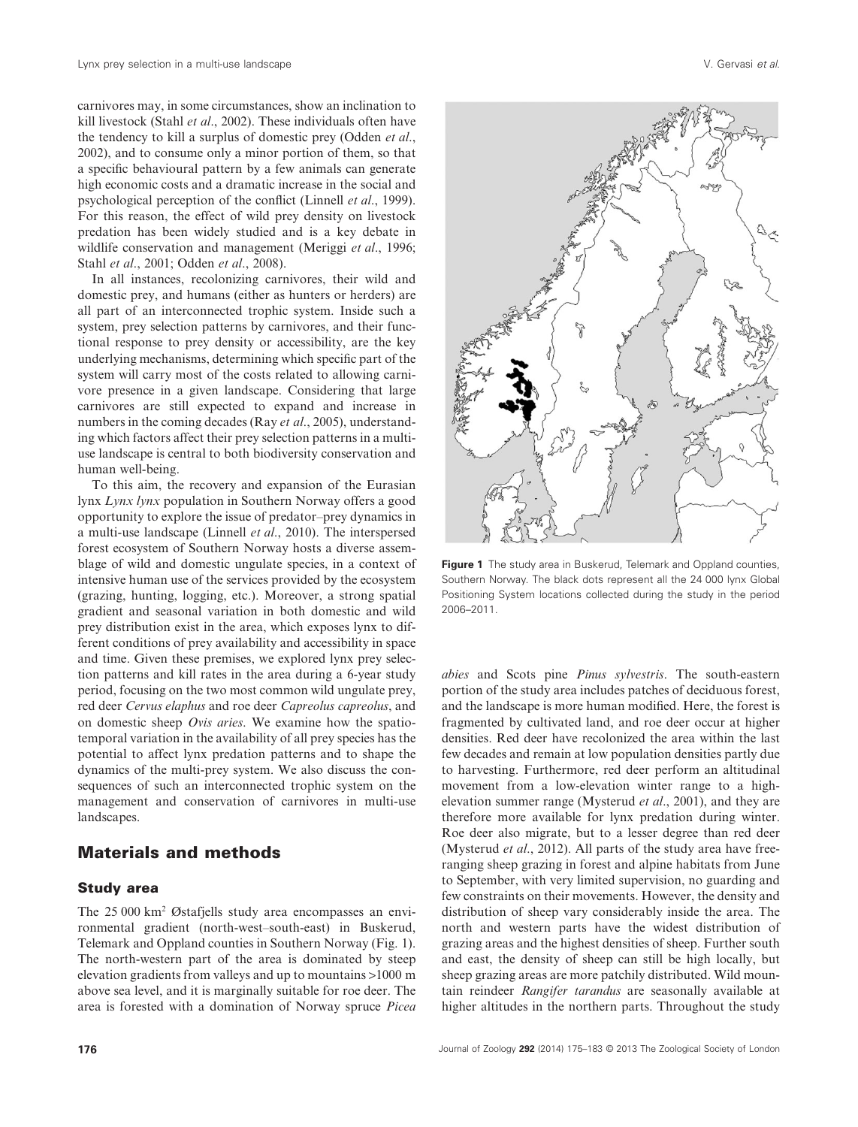carnivores may, in some circumstances, show an inclination to kill livestock (Stahl *et al*., 2002). These individuals often have the tendency to kill a surplus of domestic prey (Odden *et al*., 2002), and to consume only a minor portion of them, so that a specific behavioural pattern by a few animals can generate high economic costs and a dramatic increase in the social and psychological perception of the conflict (Linnell *et al*., 1999). For this reason, the effect of wild prey density on livestock predation has been widely studied and is a key debate in wildlife conservation and management (Meriggi *et al*., 1996; Stahl *et al*., 2001; Odden *et al*., 2008).

In all instances, recolonizing carnivores, their wild and domestic prey, and humans (either as hunters or herders) are all part of an interconnected trophic system. Inside such a system, prey selection patterns by carnivores, and their functional response to prey density or accessibility, are the key underlying mechanisms, determining which specific part of the system will carry most of the costs related to allowing carnivore presence in a given landscape. Considering that large carnivores are still expected to expand and increase in numbers in the coming decades (Ray *et al*., 2005), understanding which factors affect their prey selection patterns in a multiuse landscape is central to both biodiversity conservation and human well-being.

To this aim, the recovery and expansion of the Eurasian lynx *Lynx lynx* population in Southern Norway offers a good opportunity to explore the issue of predator–prey dynamics in a multi-use landscape (Linnell *et al*., 2010). The interspersed forest ecosystem of Southern Norway hosts a diverse assemblage of wild and domestic ungulate species, in a context of intensive human use of the services provided by the ecosystem (grazing, hunting, logging, etc.). Moreover, a strong spatial gradient and seasonal variation in both domestic and wild prey distribution exist in the area, which exposes lynx to different conditions of prey availability and accessibility in space and time. Given these premises, we explored lynx prey selection patterns and kill rates in the area during a 6-year study period, focusing on the two most common wild ungulate prey, red deer *Cervus elaphus* and roe deer *Capreolus capreolus*, and on domestic sheep *Ovis aries*. We examine how the spatiotemporal variation in the availability of all prey species has the potential to affect lynx predation patterns and to shape the dynamics of the multi-prey system. We also discuss the consequences of such an interconnected trophic system on the management and conservation of carnivores in multi-use landscapes.

## **Materials and methods**

#### **Study area**

The 25 000 km2 Østafjells study area encompasses an environmental gradient (north-west–south-east) in Buskerud, Telemark and Oppland counties in Southern Norway (Fig. 1). The north-western part of the area is dominated by steep elevation gradients from valleys and up to mountains >1000 m above sea level, and it is marginally suitable for roe deer. The area is forested with a domination of Norway spruce *Picea*



**Figure 1** The study area in Buskerud, Telemark and Oppland counties, Southern Norway. The black dots represent all the 24 000 lynx Global Positioning System locations collected during the study in the period 2006–2011.

*abies* and Scots pine *Pinus sylvestris*. The south-eastern portion of the study area includes patches of deciduous forest, and the landscape is more human modified. Here, the forest is fragmented by cultivated land, and roe deer occur at higher densities. Red deer have recolonized the area within the last few decades and remain at low population densities partly due to harvesting. Furthermore, red deer perform an altitudinal movement from a low-elevation winter range to a highelevation summer range (Mysterud *et al*., 2001), and they are therefore more available for lynx predation during winter. Roe deer also migrate, but to a lesser degree than red deer (Mysterud *et al*., 2012). All parts of the study area have freeranging sheep grazing in forest and alpine habitats from June to September, with very limited supervision, no guarding and few constraints on their movements. However, the density and distribution of sheep vary considerably inside the area. The north and western parts have the widest distribution of grazing areas and the highest densities of sheep. Further south and east, the density of sheep can still be high locally, but sheep grazing areas are more patchily distributed. Wild mountain reindeer *Rangifer tarandus* are seasonally available at higher altitudes in the northern parts. Throughout the study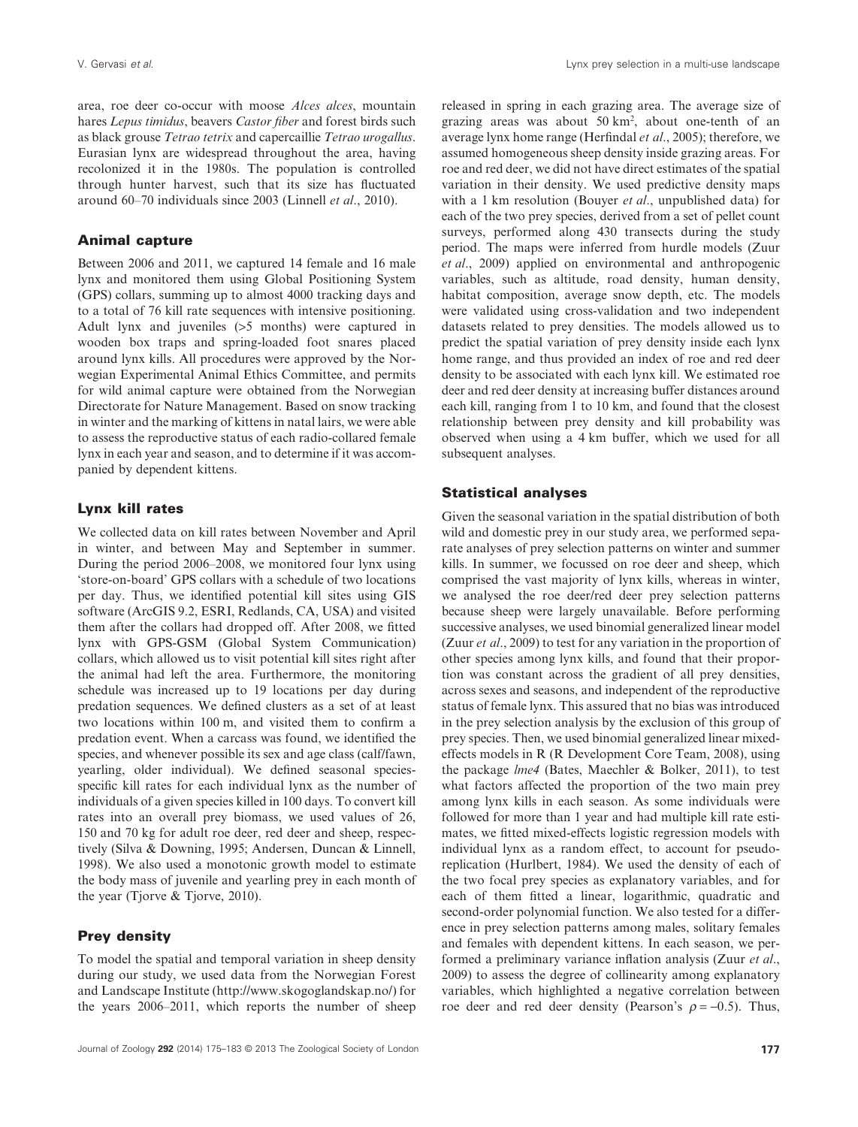area, roe deer co-occur with moose *Alces alces*, mountain hares *Lepus timidus*, beavers *Castor fiber* and forest birds such as black grouse *Tetrao tetrix* and capercaillie *Tetrao urogallus*. Eurasian lynx are widespread throughout the area, having recolonized it in the 1980s. The population is controlled through hunter harvest, such that its size has fluctuated around 60–70 individuals since 2003 (Linnell *et al*., 2010).

#### **Animal capture**

Between 2006 and 2011, we captured 14 female and 16 male lynx and monitored them using Global Positioning System (GPS) collars, summing up to almost 4000 tracking days and to a total of 76 kill rate sequences with intensive positioning. Adult lynx and juveniles (>5 months) were captured in wooden box traps and spring-loaded foot snares placed around lynx kills. All procedures were approved by the Norwegian Experimental Animal Ethics Committee, and permits for wild animal capture were obtained from the Norwegian Directorate for Nature Management. Based on snow tracking in winter and the marking of kittens in natal lairs, we were able to assess the reproductive status of each radio-collared female lynx in each year and season, and to determine if it was accompanied by dependent kittens.

#### **Lynx kill rates**

We collected data on kill rates between November and April in winter, and between May and September in summer. During the period 2006–2008, we monitored four lynx using 'store-on-board' GPS collars with a schedule of two locations per day. Thus, we identified potential kill sites using GIS software (ArcGIS 9.2, ESRI, Redlands, CA, USA) and visited them after the collars had dropped off. After 2008, we fitted lynx with GPS-GSM (Global System Communication) collars, which allowed us to visit potential kill sites right after the animal had left the area. Furthermore, the monitoring schedule was increased up to 19 locations per day during predation sequences. We defined clusters as a set of at least two locations within 100 m, and visited them to confirm a predation event. When a carcass was found, we identified the species, and whenever possible its sex and age class (calf/fawn, yearling, older individual). We defined seasonal speciesspecific kill rates for each individual lynx as the number of individuals of a given species killed in 100 days. To convert kill rates into an overall prey biomass, we used values of 26, 150 and 70 kg for adult roe deer, red deer and sheep, respectively (Silva & Downing, 1995; Andersen, Duncan & Linnell, 1998). We also used a monotonic growth model to estimate the body mass of juvenile and yearling prey in each month of the year (Tjorve & Tjorve, 2010).

#### **Prey density**

To model the spatial and temporal variation in sheep density during our study, we used data from the Norwegian Forest and Landscape Institute (http://www.skogoglandskap.no/) for the years 2006–2011, which reports the number of sheep

released in spring in each grazing area. The average size of grazing areas was about  $50 \text{ km}^2$ , about one-tenth of an average lynx home range (Herfindal *et al*., 2005); therefore, we assumed homogeneous sheep density inside grazing areas. For roe and red deer, we did not have direct estimates of the spatial variation in their density. We used predictive density maps with a 1 km resolution (Bouyer *et al*., unpublished data) for each of the two prey species, derived from a set of pellet count surveys, performed along 430 transects during the study period. The maps were inferred from hurdle models (Zuur *et al*., 2009) applied on environmental and anthropogenic variables, such as altitude, road density, human density, habitat composition, average snow depth, etc. The models were validated using cross-validation and two independent datasets related to prey densities. The models allowed us to predict the spatial variation of prey density inside each lynx home range, and thus provided an index of roe and red deer density to be associated with each lynx kill. We estimated roe deer and red deer density at increasing buffer distances around each kill, ranging from 1 to 10 km, and found that the closest relationship between prey density and kill probability was observed when using a 4 km buffer, which we used for all subsequent analyses.

#### **Statistical analyses**

Given the seasonal variation in the spatial distribution of both wild and domestic prey in our study area, we performed separate analyses of prey selection patterns on winter and summer kills. In summer, we focussed on roe deer and sheep, which comprised the vast majority of lynx kills, whereas in winter, we analysed the roe deer/red deer prey selection patterns because sheep were largely unavailable. Before performing successive analyses, we used binomial generalized linear model (Zuur *et al*., 2009) to test for any variation in the proportion of other species among lynx kills, and found that their proportion was constant across the gradient of all prey densities, across sexes and seasons, and independent of the reproductive status of female lynx. This assured that no bias was introduced in the prey selection analysis by the exclusion of this group of prey species. Then, we used binomial generalized linear mixedeffects models in R (R Development Core Team, 2008), using the package *lme4* (Bates, Maechler & Bolker, 2011), to test what factors affected the proportion of the two main prey among lynx kills in each season. As some individuals were followed for more than 1 year and had multiple kill rate estimates, we fitted mixed-effects logistic regression models with individual lynx as a random effect, to account for pseudoreplication (Hurlbert, 1984). We used the density of each of the two focal prey species as explanatory variables, and for each of them fitted a linear, logarithmic, quadratic and second-order polynomial function. We also tested for a difference in prey selection patterns among males, solitary females and females with dependent kittens. In each season, we performed a preliminary variance inflation analysis (Zuur *et al*., 2009) to assess the degree of collinearity among explanatory variables, which highlighted a negative correlation between roe deer and red deer density (Pearson's  $\rho = -0.5$ ). Thus,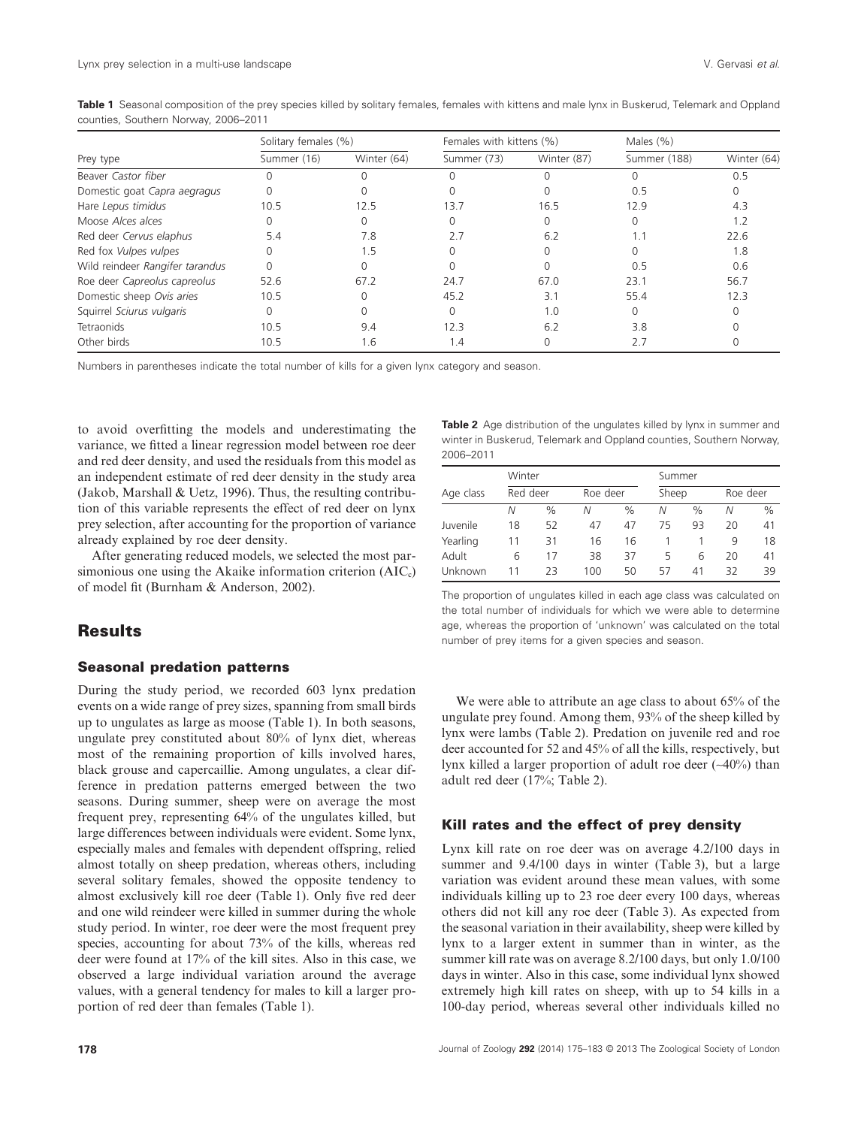|                                 | Solitary females (%) |             | Females with kittens (%) |             | Males $(% )$ |             |
|---------------------------------|----------------------|-------------|--------------------------|-------------|--------------|-------------|
| Prey type                       | Summer (16)          | Winter (64) | Summer (73)              | Winter (87) | Summer (188) | Winter (64) |
| Beaver Castor fiber             |                      | $\Omega$    |                          |             |              | 0.5         |
| Domestic goat Capra aegragus    |                      | 0           |                          |             | 0.5          | $\Omega$    |
| Hare Lepus timidus              | 10.5                 | 12.5        | 13.7                     | 16.5        | 12.9         | 4.3         |
| Moose Alces alces               | 0                    | 0           |                          | 0           | $\Omega$     | 1.2         |
| Red deer Cervus elaphus         | 5.4                  | 7.8         | 2.7                      | 6.2         | 1.1          | 22.6        |
| Red fox Vulpes vulpes           | 0                    | 1.5         |                          |             |              | 1.8         |
| Wild reindeer Rangifer tarandus |                      | 0           |                          |             | 0.5          | 0.6         |
| Roe deer Capreolus capreolus    | 52.6                 | 67.2        | 24.7                     | 67.0        | 23.1         | 56.7        |
| Domestic sheep Ovis aries       | 10.5                 | $\Omega$    | 45.2                     | 3.1         | 55.4         | 12.3        |
| Squirrel Sciurus vulgaris       | 0                    | 0           |                          | 1.0         | $\Omega$     |             |
| Tetraonids                      | 10.5                 | 9.4         | 12.3                     | 6.2         | 3.8          |             |
| Other birds                     | 10.5                 | 1.6         | 1.4                      |             | 2.7          |             |

**Table 1** Seasonal composition of the prey species killed by solitary females, females with kittens and male lynx in Buskerud, Telemark and Oppland counties, Southern Norway, 2006–2011

Numbers in parentheses indicate the total number of kills for a given lynx category and season.

to avoid overfitting the models and underestimating the variance, we fitted a linear regression model between roe deer and red deer density, and used the residuals from this model as an independent estimate of red deer density in the study area (Jakob, Marshall & Uetz, 1996). Thus, the resulting contribution of this variable represents the effect of red deer on lynx prey selection, after accounting for the proportion of variance already explained by roe deer density.

After generating reduced models, we selected the most parsimonious one using the Akaike information criterion  $(AIC<sub>c</sub>)$ of model fit (Burnham & Anderson, 2002).

#### **Results**

#### **Seasonal predation patterns**

During the study period, we recorded 603 lynx predation events on a wide range of prey sizes, spanning from small birds up to ungulates as large as moose (Table 1). In both seasons, ungulate prey constituted about 80% of lynx diet, whereas most of the remaining proportion of kills involved hares, black grouse and capercaillie. Among ungulates, a clear difference in predation patterns emerged between the two seasons. During summer, sheep were on average the most frequent prey, representing 64% of the ungulates killed, but large differences between individuals were evident. Some lynx, especially males and females with dependent offspring, relied almost totally on sheep predation, whereas others, including several solitary females, showed the opposite tendency to almost exclusively kill roe deer (Table 1). Only five red deer and one wild reindeer were killed in summer during the whole study period. In winter, roe deer were the most frequent prey species, accounting for about 73% of the kills, whereas red deer were found at 17% of the kill sites. Also in this case, we observed a large individual variation around the average values, with a general tendency for males to kill a larger proportion of red deer than females (Table 1).

**Table 2** Age distribution of the ungulates killed by lynx in summer and winter in Buskerud, Telemark and Oppland counties, Southern Norway, 2006–2011

|           | Winter   |      |     |          | Summer |       |    |          |  |
|-----------|----------|------|-----|----------|--------|-------|----|----------|--|
| Age class | Red deer |      |     | Roe deer |        | Sheep |    | Roe deer |  |
|           | Ν        | $\%$ | Ν   | $\%$     | Ν      | %     | N  | $\%$     |  |
| Juvenile  | 18       | 52   | 47  | 47       | 75     | 93    | 20 | 41       |  |
| Yearling  | 11       | 31   | 16  | 16       |        |       | q  | 18       |  |
| Adult     | 6        | 17   | 38  | 37       | 5      | 6     | 20 | 41       |  |
| Unknown   | 11       | 23   | 100 | 50       | 57     | 41    | 32 | 39       |  |

The proportion of ungulates killed in each age class was calculated on the total number of individuals for which we were able to determine age, whereas the proportion of 'unknown' was calculated on the total number of prey items for a given species and season.

We were able to attribute an age class to about 65% of the ungulate prey found. Among them, 93% of the sheep killed by lynx were lambs (Table 2). Predation on juvenile red and roe deer accounted for 52 and 45% of all the kills, respectively, but lynx killed a larger proportion of adult roe deer (∼40%) than adult red deer (17%; Table 2).

#### **Kill rates and the effect of prey density**

Lynx kill rate on roe deer was on average 4.2/100 days in summer and 9.4/100 days in winter (Table 3), but a large variation was evident around these mean values, with some individuals killing up to 23 roe deer every 100 days, whereas others did not kill any roe deer (Table 3). As expected from the seasonal variation in their availability, sheep were killed by lynx to a larger extent in summer than in winter, as the summer kill rate was on average 8.2/100 days, but only 1.0/100 days in winter. Also in this case, some individual lynx showed extremely high kill rates on sheep, with up to 54 kills in a 100-day period, whereas several other individuals killed no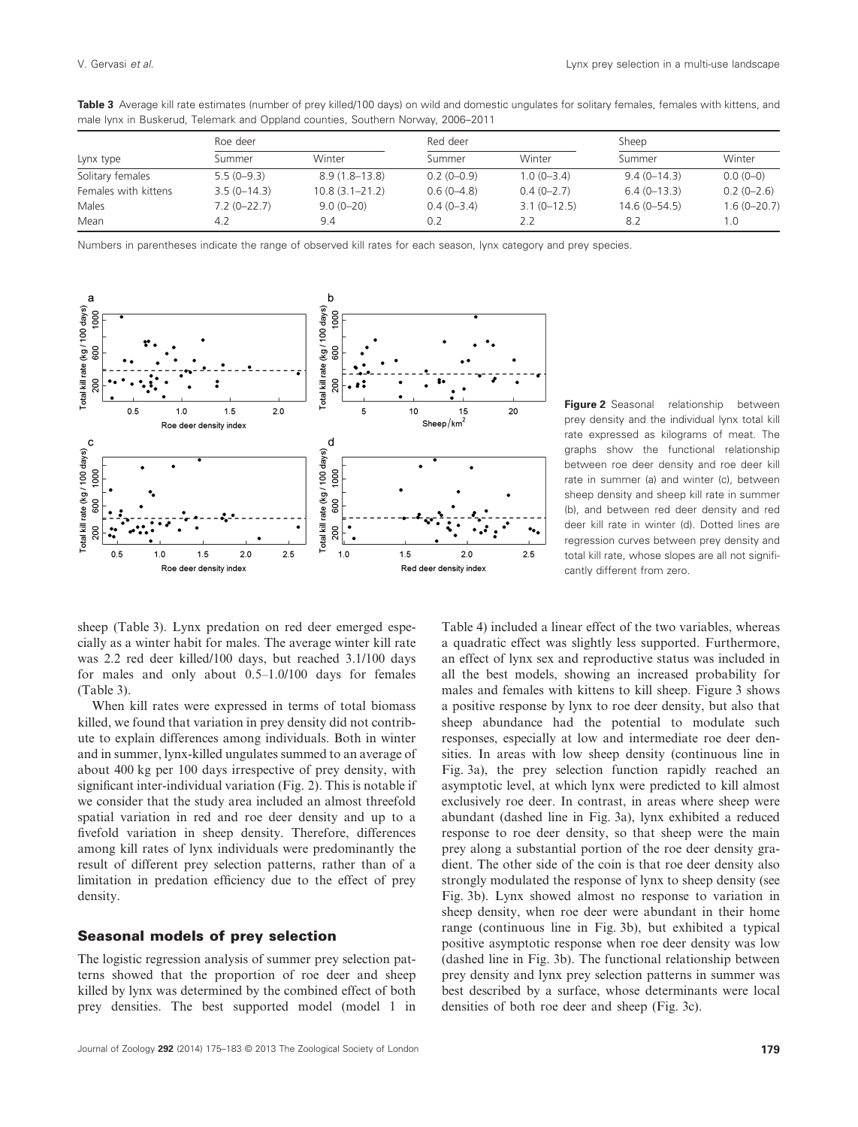|                      | Roe deer      |                    | Red deer     |                 | Sheep            |                 |
|----------------------|---------------|--------------------|--------------|-----------------|------------------|-----------------|
| Lynx type            | Summer        | Winter             | Summer       | Winter          | Summer           | Winter          |
| Solitary females     | $5.5(0-9.3)$  | $8.9(1.8-13.8)$    | $0.2(0-0.9)$ | $1.0(0-3.4)$    | $9.4(0-14.3)$    | $0.0(0-0)$      |
| Females with kittens | $3.5(0-14.3)$ | $10.8(3.1 - 21.2)$ | $0.6(0-4.8)$ | $0.4(0-2.7)$    | $6.4(0-13.3)$    | $0.2(0-2.6)$    |
| Males                | $7.2(0-22.7)$ | $9.0(0 - 20)$      | $0.4(0-3.4)$ | $3.1(0 - 12.5)$ | $14.6(0 - 54.5)$ | $1.6(0 - 20.7)$ |
| Mean                 | 4.2           | 9.4                | 0.2          | 2.2             | 8.2              | 1.0             |

**Table 3** Average kill rate estimates (number of prey killed/100 days) on wild and domestic ungulates for solitary females, females with kittens, and male lynx in Buskerud, Telemark and Oppland counties, Southern Norway, 2006–2011

Numbers in parentheses indicate the range of observed kill rates for each season, lynx category and prey species.



**Figure 2** Seasonal relationship between prey density and the individual lynx total kill rate expressed as kilograms of meat. The graphs show the functional relationship between roe deer density and roe deer kill rate in summer (a) and winter (c), between sheep density and sheep kill rate in summer (b), and between red deer density and red deer kill rate in winter (d). Dotted lines are regression curves between prey density and total kill rate, whose slopes are all not significantly different from zero.

sheep (Table 3). Lynx predation on red deer emerged especially as a winter habit for males. The average winter kill rate was 2.2 red deer killed/100 days, but reached 3.1/100 days for males and only about 0.5–1.0/100 days for females (Table 3).

When kill rates were expressed in terms of total biomass killed, we found that variation in prey density did not contribute to explain differences among individuals. Both in winter and in summer, lynx-killed ungulates summed to an average of about 400 kg per 100 days irrespective of prey density, with significant inter-individual variation (Fig. 2). This is notable if we consider that the study area included an almost threefold spatial variation in red and roe deer density and up to a fivefold variation in sheep density. Therefore, differences among kill rates of lynx individuals were predominantly the result of different prey selection patterns, rather than of a limitation in predation efficiency due to the effect of prey density.

#### **Seasonal models of prey selection**

The logistic regression analysis of summer prey selection patterns showed that the proportion of roe deer and sheep killed by lynx was determined by the combined effect of both prey densities. The best supported model (model 1 in

Table 4) included a linear effect of the two variables, whereas a quadratic effect was slightly less supported. Furthermore, an effect of lynx sex and reproductive status was included in all the best models, showing an increased probability for males and females with kittens to kill sheep. Figure 3 shows a positive response by lynx to roe deer density, but also that sheep abundance had the potential to modulate such responses, especially at low and intermediate roe deer densities. In areas with low sheep density (continuous line in Fig. 3a), the prey selection function rapidly reached an asymptotic level, at which lynx were predicted to kill almost exclusively roe deer. In contrast, in areas where sheep were abundant (dashed line in Fig. 3a), lynx exhibited a reduced response to roe deer density, so that sheep were the main prey along a substantial portion of the roe deer density gradient. The other side of the coin is that roe deer density also strongly modulated the response of lynx to sheep density (see Fig. 3b). Lynx showed almost no response to variation in sheep density, when roe deer were abundant in their home range (continuous line in Fig. 3b), but exhibited a typical positive asymptotic response when roe deer density was low (dashed line in Fig. 3b). The functional relationship between prey density and lynx prey selection patterns in summer was best described by a surface, whose determinants were local densities of both roe deer and sheep (Fig. 3c).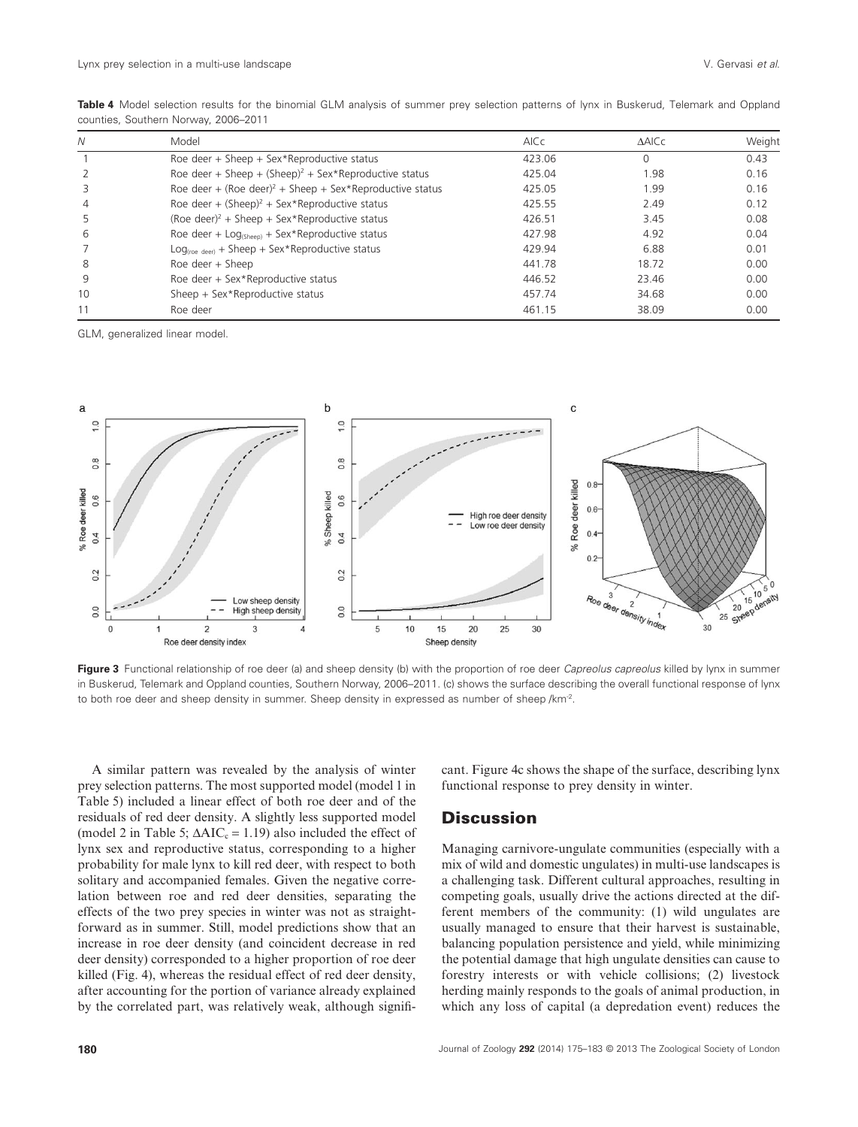| Ν  | Model                                                                | AICc   | $\triangle$ AICc | Weight |
|----|----------------------------------------------------------------------|--------|------------------|--------|
|    | Roe deer + Sheep + Sex*Reproductive status                           | 423.06 | $\Omega$         | 0.43   |
|    | Roe deer + Sheep + $(Sheep)^2$ + Sex*Reproductive status             | 425.04 | 1.98             | 0.16   |
|    | Roe deer + (Roe deer) <sup>2</sup> + Sheep + Sex*Reproductive status | 425.05 | 1.99             | 0.16   |
| 4  | Roe deer + $(Sheep)^2$ + Sex*Reproductive status                     | 425.55 | 2.49             | 0.12   |
|    | (Roe deer) <sup>2</sup> + Sheep + Sex*Reproductive status            | 426.51 | 3.45             | 0.08   |
| 6  | Roe deer + $Log_{(Sheen)}$ + Sex*Reproductive status                 | 427.98 | 4.92             | 0.04   |
|    | $Log_{(roe\text{ deer})}$ + Sheep + Sex*Reproductive status          | 429.94 | 6.88             | 0.01   |
| 8  | Roe deer $+$ Sheep                                                   | 441.78 | 18.72            | 0.00   |
| 9  | Roe deer + Sex*Reproductive status                                   | 446.52 | 23.46            | 0.00   |
| 10 | Sheep + Sex*Reproductive status                                      | 457.74 | 34.68            | 0.00   |
| 11 | Roe deer                                                             | 461.15 | 38.09            | 0.00   |

**Table 4** Model selection results for the binomial GLM analysis of summer prey selection patterns of lynx in Buskerud, Telemark and Oppland counties, Southern Norway, 2006–2011

GLM, generalized linear model.



**Figure 3** Functional relationship of roe deer (a) and sheep density (b) with the proportion of roe deer *Capreolus capreolus* killed by lynx in summer in Buskerud, Telemark and Oppland counties, Southern Norway, 2006–2011. (c) shows the surface describing the overall functional response of lynx to both roe deer and sheep density in summer. Sheep density in expressed as number of sheep /km<sup>-2</sup>.

A similar pattern was revealed by the analysis of winter prey selection patterns. The most supported model (model 1 in Table 5) included a linear effect of both roe deer and of the residuals of red deer density. A slightly less supported model (model 2 in Table 5;  $\Delta AIC_c = 1.19$ ) also included the effect of lynx sex and reproductive status, corresponding to a higher probability for male lynx to kill red deer, with respect to both solitary and accompanied females. Given the negative correlation between roe and red deer densities, separating the effects of the two prey species in winter was not as straightforward as in summer. Still, model predictions show that an increase in roe deer density (and coincident decrease in red deer density) corresponded to a higher proportion of roe deer killed (Fig. 4), whereas the residual effect of red deer density, after accounting for the portion of variance already explained by the correlated part, was relatively weak, although significant. Figure 4c shows the shape of the surface, describing lynx functional response to prey density in winter.

## **Discussion**

Managing carnivore-ungulate communities (especially with a mix of wild and domestic ungulates) in multi-use landscapes is a challenging task. Different cultural approaches, resulting in competing goals, usually drive the actions directed at the different members of the community: (1) wild ungulates are usually managed to ensure that their harvest is sustainable, balancing population persistence and yield, while minimizing the potential damage that high ungulate densities can cause to forestry interests or with vehicle collisions; (2) livestock herding mainly responds to the goals of animal production, in which any loss of capital (a depredation event) reduces the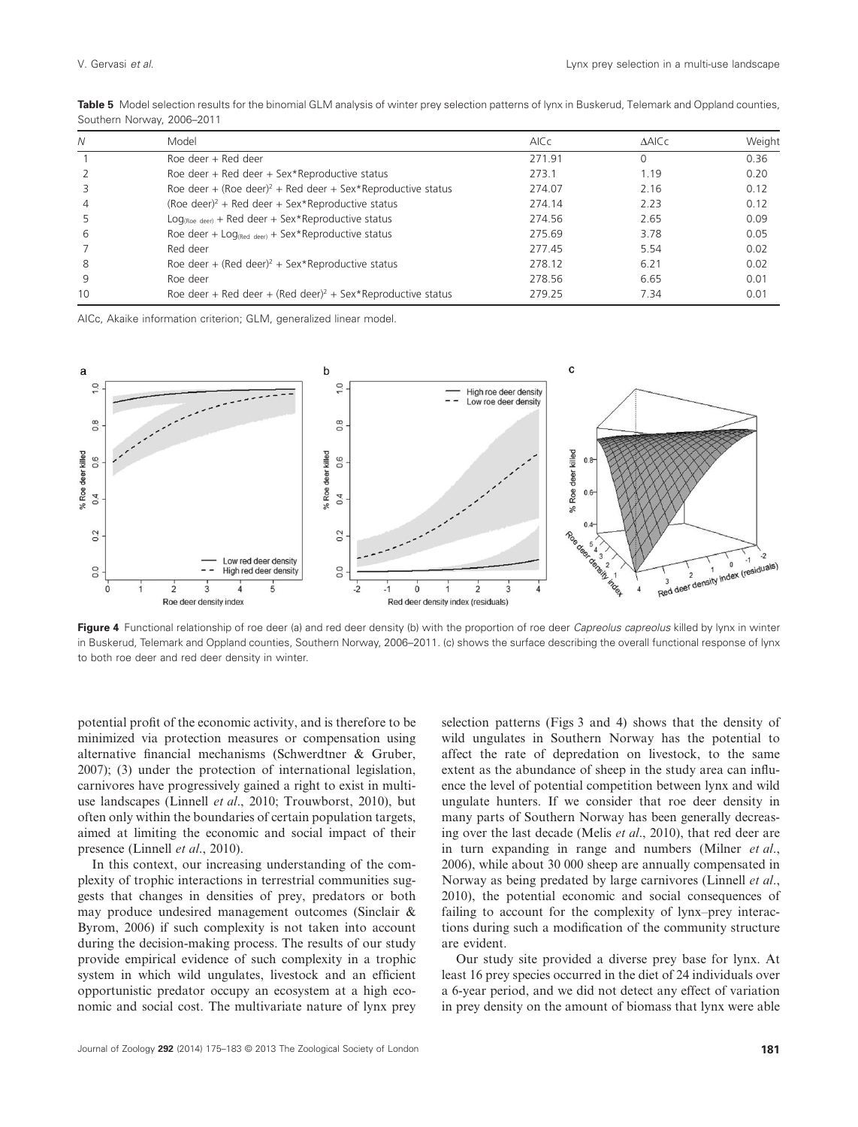| N  | Model                                                                   | <b>AICc</b> | <b>AAICC</b> | Weight |
|----|-------------------------------------------------------------------------|-------------|--------------|--------|
|    | Roe deer + Red deer                                                     | 271.91      | $\Omega$     | 0.36   |
|    | Roe deer + Red deer + Sex*Reproductive status                           | 273.1       | 1.19         | 0.20   |
|    | Roe deer + (Roe deer) <sup>2</sup> + Red deer + Sex*Reproductive status | 274.07      | 2.16         | 0.12   |
| 4  | (Roe deer) <sup>2</sup> + Red deer + Sex*Reproductive status            | 274.14      | 2.23         | 0.12   |
|    | $Log_{(Roe \text{ deer})}$ + Red deer + Sex*Reproductive status         | 274.56      | 2.65         | 0.09   |
| 6  | Roe deer + $Log_{(Red\text{ deer})}$ + Sex*Reproductive status          | 275.69      | 3.78         | 0.05   |
|    | Red deer                                                                | 277.45      | 5.54         | 0.02   |
| 8  | Roe deer + (Red deer) <sup>2</sup> + Sex*Reproductive status            | 278.12      | 6.21         | 0.02   |
| 9  | Roe deer                                                                | 278.56      | 6.65         | 0.01   |
| 10 | Roe deer + Red deer + (Red deer) <sup>2</sup> + Sex*Reproductive status | 279.25      | 7.34         | 0.01   |

Table 5 Model selection results for the binomial GLM analysis of winter prey selection patterns of lynx in Buskerud, Telemark and Oppland counties, Southern Norway, 2006–2011

AICc, Akaike information criterion; GLM, generalized linear model.



**Figure 4** Functional relationship of roe deer (a) and red deer density (b) with the proportion of roe deer *Capreolus capreolus* killed by lynx in winter in Buskerud, Telemark and Oppland counties, Southern Norway, 2006–2011. (c) shows the surface describing the overall functional response of lynx to both roe deer and red deer density in winter.

potential profit of the economic activity, and is therefore to be minimized via protection measures or compensation using alternative financial mechanisms (Schwerdtner & Gruber, 2007); (3) under the protection of international legislation, carnivores have progressively gained a right to exist in multiuse landscapes (Linnell *et al*., 2010; Trouwborst, 2010), but often only within the boundaries of certain population targets, aimed at limiting the economic and social impact of their presence (Linnell *et al*., 2010).

In this context, our increasing understanding of the complexity of trophic interactions in terrestrial communities suggests that changes in densities of prey, predators or both may produce undesired management outcomes (Sinclair & Byrom, 2006) if such complexity is not taken into account during the decision-making process. The results of our study provide empirical evidence of such complexity in a trophic system in which wild ungulates, livestock and an efficient opportunistic predator occupy an ecosystem at a high economic and social cost. The multivariate nature of lynx prey selection patterns (Figs 3 and 4) shows that the density of wild ungulates in Southern Norway has the potential to affect the rate of depredation on livestock, to the same extent as the abundance of sheep in the study area can influence the level of potential competition between lynx and wild ungulate hunters. If we consider that roe deer density in many parts of Southern Norway has been generally decreasing over the last decade (Melis *et al*., 2010), that red deer are in turn expanding in range and numbers (Milner *et al*., 2006), while about 30 000 sheep are annually compensated in Norway as being predated by large carnivores (Linnell *et al*., 2010), the potential economic and social consequences of failing to account for the complexity of lynx–prey interactions during such a modification of the community structure are evident.

Our study site provided a diverse prey base for lynx. At least 16 prey species occurred in the diet of 24 individuals over a 6-year period, and we did not detect any effect of variation in prey density on the amount of biomass that lynx were able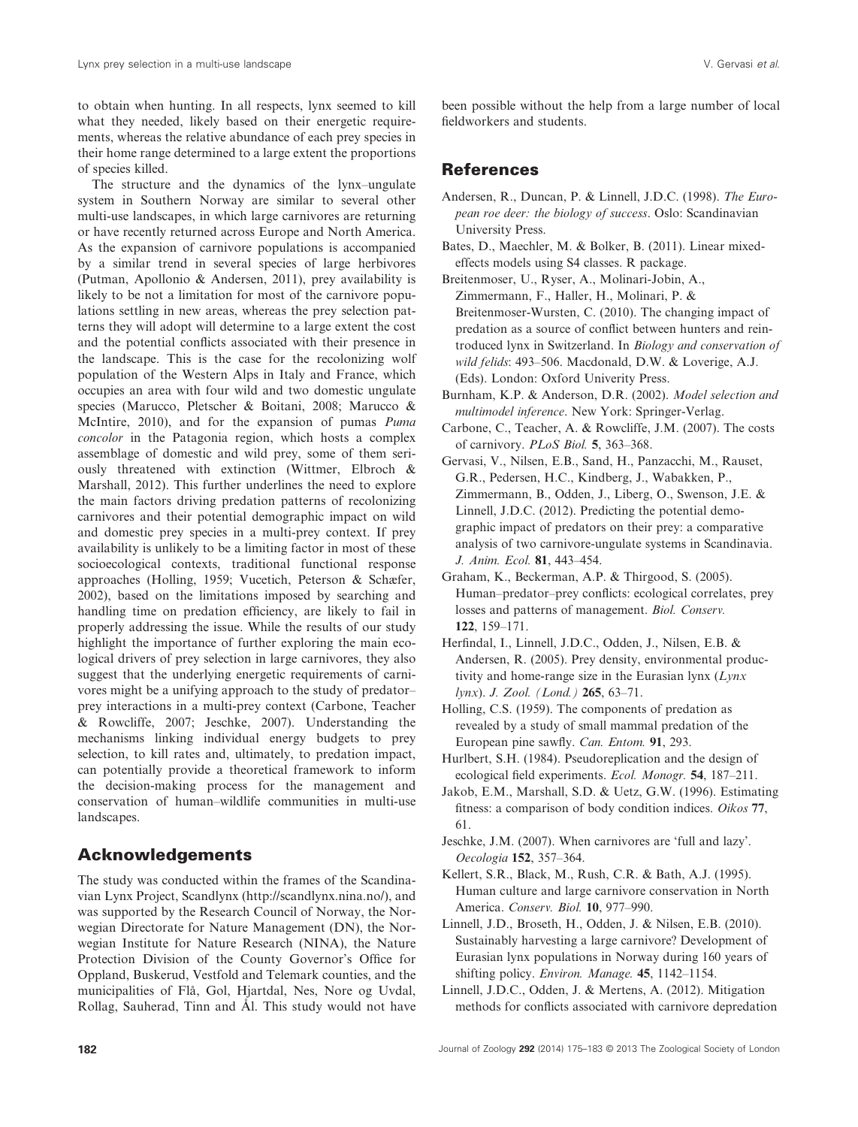to obtain when hunting. In all respects, lynx seemed to kill what they needed, likely based on their energetic requirements, whereas the relative abundance of each prey species in their home range determined to a large extent the proportions of species killed.

The structure and the dynamics of the lynx–ungulate system in Southern Norway are similar to several other multi-use landscapes, in which large carnivores are returning or have recently returned across Europe and North America. As the expansion of carnivore populations is accompanied by a similar trend in several species of large herbivores (Putman, Apollonio & Andersen, 2011), prey availability is likely to be not a limitation for most of the carnivore populations settling in new areas, whereas the prey selection patterns they will adopt will determine to a large extent the cost and the potential conflicts associated with their presence in the landscape. This is the case for the recolonizing wolf population of the Western Alps in Italy and France, which occupies an area with four wild and two domestic ungulate species (Marucco, Pletscher & Boitani, 2008; Marucco & McIntire, 2010), and for the expansion of pumas *Puma concolor* in the Patagonia region, which hosts a complex assemblage of domestic and wild prey, some of them seriously threatened with extinction (Wittmer, Elbroch & Marshall, 2012). This further underlines the need to explore the main factors driving predation patterns of recolonizing carnivores and their potential demographic impact on wild and domestic prey species in a multi-prey context. If prey availability is unlikely to be a limiting factor in most of these socioecological contexts, traditional functional response approaches (Holling, 1959; Vucetich, Peterson & Schæfer, 2002), based on the limitations imposed by searching and handling time on predation efficiency, are likely to fail in properly addressing the issue. While the results of our study highlight the importance of further exploring the main ecological drivers of prey selection in large carnivores, they also suggest that the underlying energetic requirements of carnivores might be a unifying approach to the study of predator– prey interactions in a multi-prey context (Carbone, Teacher & Rowcliffe, 2007; Jeschke, 2007). Understanding the mechanisms linking individual energy budgets to prey selection, to kill rates and, ultimately, to predation impact, can potentially provide a theoretical framework to inform the decision-making process for the management and conservation of human–wildlife communities in multi-use landscapes.

## **Acknowledgements**

The study was conducted within the frames of the Scandinavian Lynx Project, Scandlynx (http://scandlynx.nina.no/), and was supported by the Research Council of Norway, the Norwegian Directorate for Nature Management (DN), the Norwegian Institute for Nature Research (NINA), the Nature Protection Division of the County Governor's Office for Oppland, Buskerud, Vestfold and Telemark counties, and the municipalities of Flå, Gol, Hjartdal, Nes, Nore og Uvdal, Rollag, Sauherad, Tinn and Ål. This study would not have been possible without the help from a large number of local fieldworkers and students.

#### **References**

- Andersen, R., Duncan, P. & Linnell, J.D.C. (1998). *The European roe deer: the biology of success*. Oslo: Scandinavian University Press.
- Bates, D., Maechler, M. & Bolker, B. (2011). Linear mixedeffects models using S4 classes. R package.

Breitenmoser, U., Ryser, A., Molinari-Jobin, A., Zimmermann, F., Haller, H., Molinari, P. & Breitenmoser-Wursten, C. (2010). The changing impact of predation as a source of conflict between hunters and reintroduced lynx in Switzerland. In *Biology and conservation of wild felids*: 493–506. Macdonald, D.W. & Loverige, A.J. (Eds). London: Oxford Univerity Press.

- Burnham, K.P. & Anderson, D.R. (2002). *Model selection and multimodel inference*. New York: Springer-Verlag.
- Carbone, C., Teacher, A. & Rowcliffe, J.M. (2007). The costs of carnivory. *PLoS Biol.* **5**, 363–368.
- Gervasi, V., Nilsen, E.B., Sand, H., Panzacchi, M., Rauset, G.R., Pedersen, H.C., Kindberg, J., Wabakken, P., Zimmermann, B., Odden, J., Liberg, O., Swenson, J.E. & Linnell, J.D.C. (2012). Predicting the potential demographic impact of predators on their prey: a comparative analysis of two carnivore-ungulate systems in Scandinavia. *J. Anim. Ecol.* **81**, 443–454.
- Graham, K., Beckerman, A.P. & Thirgood, S. (2005). Human–predator–prey conflicts: ecological correlates, prey losses and patterns of management. *Biol. Conserv.* **122**, 159–171.
- Herfindal, I., Linnell, J.D.C., Odden, J., Nilsen, E.B. & Andersen, R. (2005). Prey density, environmental productivity and home-range size in the Eurasian lynx (*Lynx lynx*). *J. Zool. (Lond.)* **265**, 63–71.
- Holling, C.S. (1959). The components of predation as revealed by a study of small mammal predation of the European pine sawfly. *Can. Entom.* **91**, 293.
- Hurlbert, S.H. (1984). Pseudoreplication and the design of ecological field experiments. *Ecol. Monogr.* **54**, 187–211.
- Jakob, E.M., Marshall, S.D. & Uetz, G.W. (1996). Estimating fitness: a comparison of body condition indices. *Oikos* **77**, 61.
- Jeschke, J.M. (2007). When carnivores are 'full and lazy'. *Oecologia* **152**, 357–364.
- Kellert, S.R., Black, M., Rush, C.R. & Bath, A.J. (1995). Human culture and large carnivore conservation in North America. *Conserv. Biol.* **10**, 977–990.
- Linnell, J.D., Broseth, H., Odden, J. & Nilsen, E.B. (2010). Sustainably harvesting a large carnivore? Development of Eurasian lynx populations in Norway during 160 years of shifting policy. *Environ. Manage.* **45**, 1142–1154.
- Linnell, J.D.C., Odden, J. & Mertens, A. (2012). Mitigation methods for conflicts associated with carnivore depredation